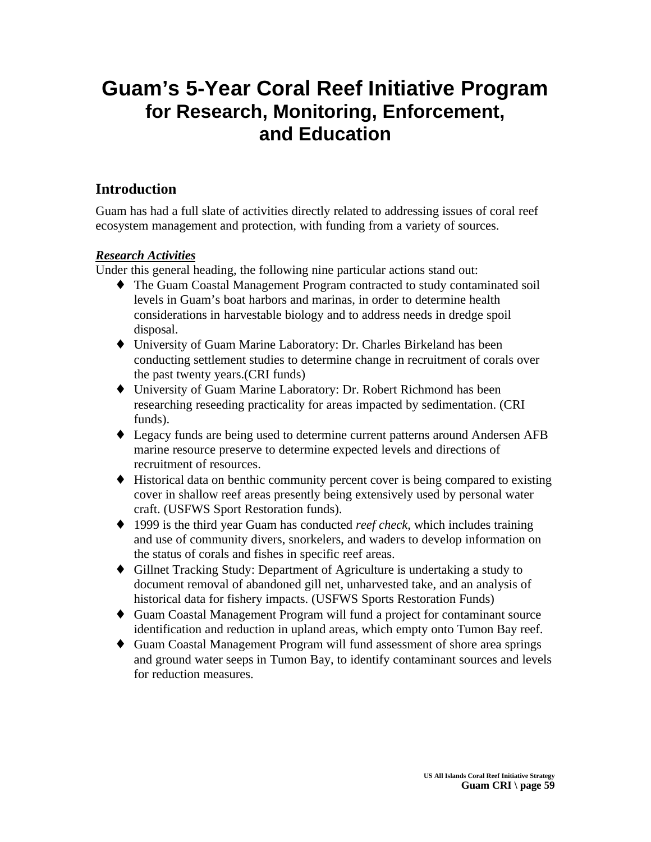# **Guam's 5-Year Coral Reef Initiative Program for Research, Monitoring, Enforcement, and Education**

# **Introduction**

Guam has had a full slate of activities directly related to addressing issues of coral reef ecosystem management and protection, with funding from a variety of sources.

# *Research Activities*

Under this general heading, the following nine particular actions stand out:

- ♦ The Guam Coastal Management Program contracted to study contaminated soil levels in Guam's boat harbors and marinas, in order to determine health considerations in harvestable biology and to address needs in dredge spoil disposal.
- ♦ University of Guam Marine Laboratory: Dr. Charles Birkeland has been conducting settlement studies to determine change in recruitment of corals over the past twenty years.(CRI funds)
- ♦ University of Guam Marine Laboratory: Dr. Robert Richmond has been researching reseeding practicality for areas impacted by sedimentation. (CRI funds).
- ♦ Legacy funds are being used to determine current patterns around Andersen AFB marine resource preserve to determine expected levels and directions of recruitment of resources.
- ♦ Historical data on benthic community percent cover is being compared to existing cover in shallow reef areas presently being extensively used by personal water craft. (USFWS Sport Restoration funds).
- ♦ 1999 is the third year Guam has conducted *reef check*, which includes training and use of community divers, snorkelers, and waders to develop information on the status of corals and fishes in specific reef areas.
- ♦ Gillnet Tracking Study: Department of Agriculture is undertaking a study to document removal of abandoned gill net, unharvested take, and an analysis of historical data for fishery impacts. (USFWS Sports Restoration Funds)
- ♦ Guam Coastal Management Program will fund a project for contaminant source identification and reduction in upland areas, which empty onto Tumon Bay reef.
- ♦ Guam Coastal Management Program will fund assessment of shore area springs and ground water seeps in Tumon Bay, to identify contaminant sources and levels for reduction measures.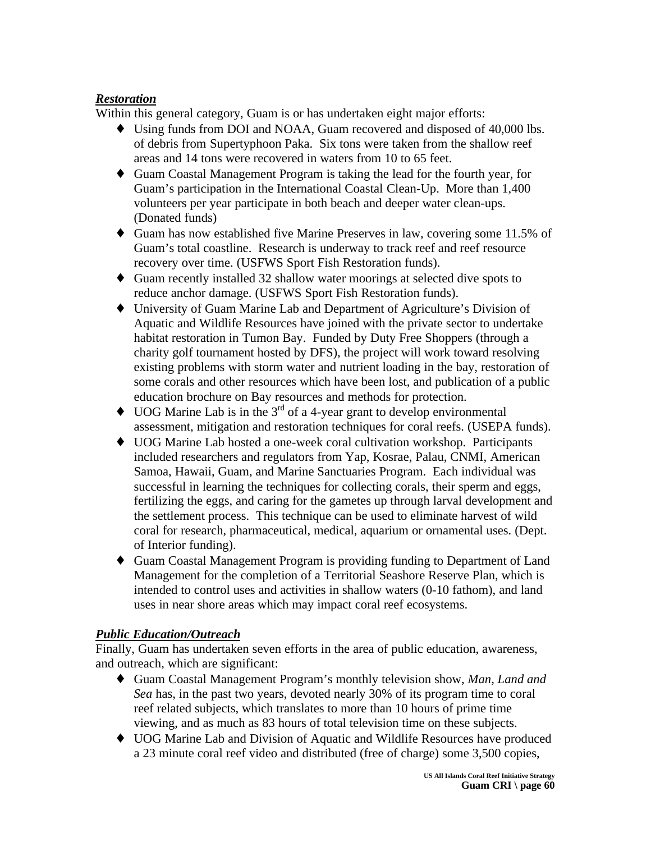# *Restoration*

Within this general category, Guam is or has undertaken eight major efforts:

- ♦ Using funds from DOI and NOAA, Guam recovered and disposed of 40,000 lbs. of debris from Supertyphoon Paka. Six tons were taken from the shallow reef areas and 14 tons were recovered in waters from 10 to 65 feet.
- ♦ Guam Coastal Management Program is taking the lead for the fourth year, for Guam's participation in the International Coastal Clean-Up. More than 1,400 volunteers per year participate in both beach and deeper water clean-ups. (Donated funds)
- ♦ Guam has now established five Marine Preserves in law, covering some 11.5% of Guam's total coastline. Research is underway to track reef and reef resource recovery over time. (USFWS Sport Fish Restoration funds).
- ♦ Guam recently installed 32 shallow water moorings at selected dive spots to reduce anchor damage. (USFWS Sport Fish Restoration funds).
- ♦ University of Guam Marine Lab and Department of Agriculture's Division of Aquatic and Wildlife Resources have joined with the private sector to undertake habitat restoration in Tumon Bay. Funded by Duty Free Shoppers (through a charity golf tournament hosted by DFS), the project will work toward resolving existing problems with storm water and nutrient loading in the bay, restoration of some corals and other resources which have been lost, and publication of a public education brochure on Bay resources and methods for protection.
- $\bullet$  UOG Marine Lab is in the 3<sup>rd</sup> of a 4-year grant to develop environmental assessment, mitigation and restoration techniques for coral reefs. (USEPA funds).
- ♦ UOG Marine Lab hosted a one-week coral cultivation workshop. Participants included researchers and regulators from Yap, Kosrae, Palau, CNMI, American Samoa, Hawaii, Guam, and Marine Sanctuaries Program. Each individual was successful in learning the techniques for collecting corals, their sperm and eggs, fertilizing the eggs, and caring for the gametes up through larval development and the settlement process. This technique can be used to eliminate harvest of wild coral for research, pharmaceutical, medical, aquarium or ornamental uses. (Dept. of Interior funding).
- ♦ Guam Coastal Management Program is providing funding to Department of Land Management for the completion of a Territorial Seashore Reserve Plan, which is intended to control uses and activities in shallow waters (0-10 fathom), and land uses in near shore areas which may impact coral reef ecosystems.

# *Public Education/Outreach*

Finally, Guam has undertaken seven efforts in the area of public education, awareness, and outreach, which are significant:

- ♦ Guam Coastal Management Program's monthly television show, *Man, Land and Sea* has, in the past two years, devoted nearly 30% of its program time to coral reef related subjects, which translates to more than 10 hours of prime time viewing, and as much as 83 hours of total television time on these subjects.
- ♦ UOG Marine Lab and Division of Aquatic and Wildlife Resources have produced a 23 minute coral reef video and distributed (free of charge) some 3,500 copies,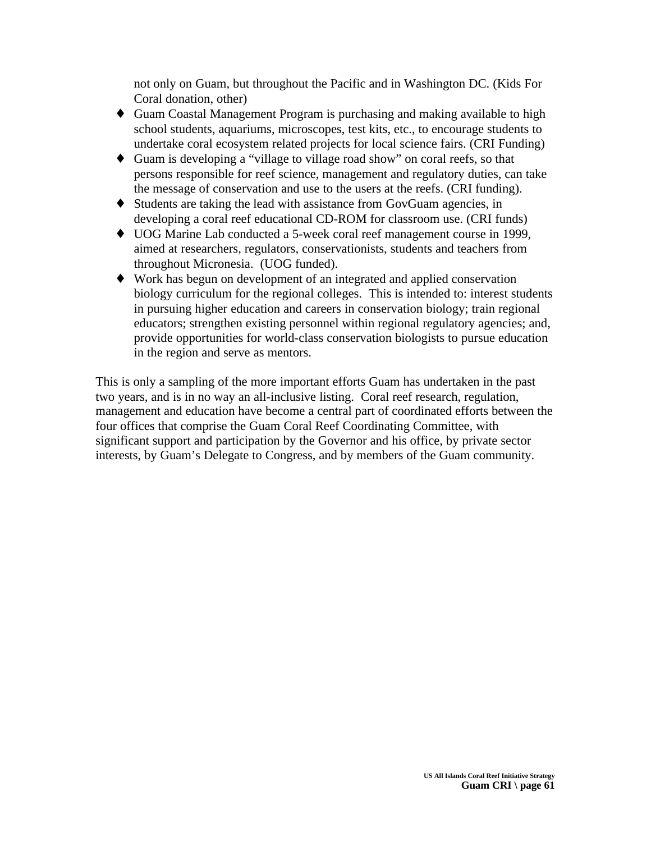not only on Guam, but throughout the Pacific and in Washington DC. (Kids For Coral donation, other)

- ♦ Guam Coastal Management Program is purchasing and making available to high school students, aquariums, microscopes, test kits, etc., to encourage students to undertake coral ecosystem related projects for local science fairs. (CRI Funding)
- ♦ Guam is developing a "village to village road show" on coral reefs, so that persons responsible for reef science, management and regulatory duties, can take the message of conservation and use to the users at the reefs. (CRI funding).
- ♦ Students are taking the lead with assistance from GovGuam agencies, in developing a coral reef educational CD-ROM for classroom use. (CRI funds)
- ♦ UOG Marine Lab conducted a 5-week coral reef management course in 1999, aimed at researchers, regulators, conservationists, students and teachers from throughout Micronesia. (UOG funded).
- ♦ Work has begun on development of an integrated and applied conservation biology curriculum for the regional colleges. This is intended to: interest students in pursuing higher education and careers in conservation biology; train regional educators; strengthen existing personnel within regional regulatory agencies; and, provide opportunities for world-class conservation biologists to pursue education in the region and serve as mentors.

This is only a sampling of the more important efforts Guam has undertaken in the past two years, and is in no way an all-inclusive listing. Coral reef research, regulation, management and education have become a central part of coordinated efforts between the four offices that comprise the Guam Coral Reef Coordinating Committee, with significant support and participation by the Governor and his office, by private sector interests, by Guam's Delegate to Congress, and by members of the Guam community.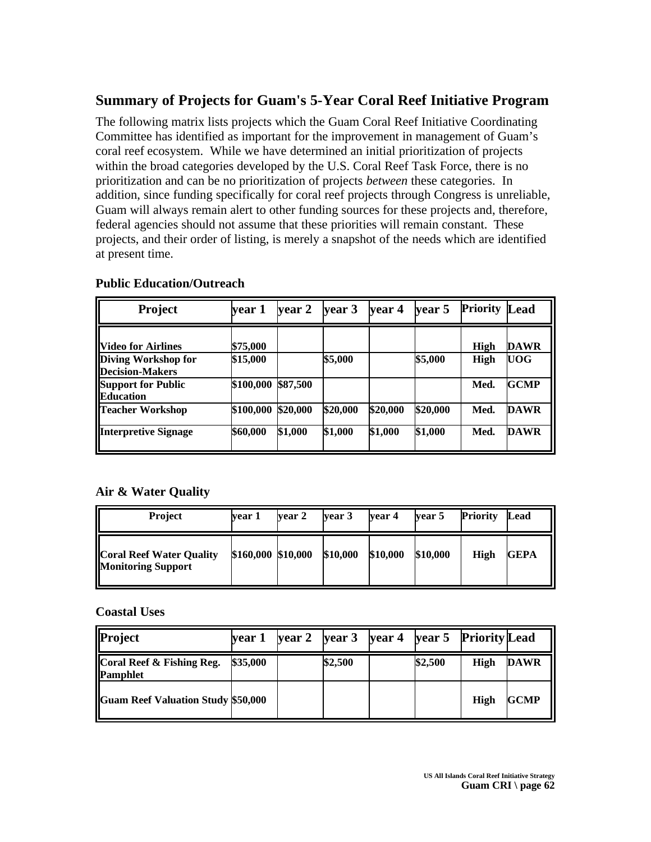# **Summary of Projects for Guam's 5-Year Coral Reef Initiative Program**

The following matrix lists projects which the Guam Coral Reef Initiative Coordinating Committee has identified as important for the improvement in management of Guam's coral reef ecosystem. While we have determined an initial prioritization of projects within the broad categories developed by the U.S. Coral Reef Task Force, there is no prioritization and can be no prioritization of projects *between* these categories. In addition, since funding specifically for coral reef projects through Congress is unreliable, Guam will always remain alert to other funding sources for these projects and, therefore, federal agencies should not assume that these priorities will remain constant.These projects, and their order of listing, is merely a snapshot of the needs which are identified at present time.

| <b>Project</b>                                | year 1    | vear 2   | vear 3   | year 4   | year 5   | <b>Priority</b> | Lead        |
|-----------------------------------------------|-----------|----------|----------|----------|----------|-----------------|-------------|
| <b>Nideo for Airlines</b>                     | \$75,000  |          |          |          |          | High            | <b>DAWR</b> |
| Diving Workshop for<br><b>Decision-Makers</b> | \$15,000  |          | \$5,000  |          | \$5,000  | <b>High</b>     | UOG         |
| <b>Support for Public</b><br><b>Education</b> | \$100,000 | \$87,500 |          |          |          | Med.            | GCMP        |
| <b>Teacher Workshop</b>                       | \$100,000 | \$20,000 | \$20,000 | \$20,000 | \$20,000 | Med.            | <b>DAWR</b> |
| <b>Interpretive Signage</b>                   | \$60,000  | \$1,000  | \$1,000  | \$1,000  | \$1,000  | Med.            | DAWR        |

#### **Public Education/Outreach**

#### **Air & Water Quality**

| <b>Project</b>                                               | vear 1             | vear 2 | vear 3   | vear 4   | vear 5   | <b>Priority</b> | Lead        |
|--------------------------------------------------------------|--------------------|--------|----------|----------|----------|-----------------|-------------|
| <b>Coral Reef Water Quality</b><br><b>Monitoring Support</b> | \$160,000 \$10,000 |        | \$10,000 | \$10,000 | \$10,000 | <b>High</b>     | <b>GEPA</b> |

#### **Coastal Uses**

| Project                                      | vear 1   | $\sqrt{2}$ year 3 |         | year 4 year 5 Priority Lead |         |             |             |
|----------------------------------------------|----------|-------------------|---------|-----------------------------|---------|-------------|-------------|
| Coral Reef & Fishing Reg.<br><b>Pamphlet</b> | \$35,000 |                   | \$2,500 |                             | \$2,500 | High        | <b>DAWR</b> |
| <b>Guam Reef Valuation Study \$50,000</b>    |          |                   |         |                             |         | <b>High</b> | <b>GCMP</b> |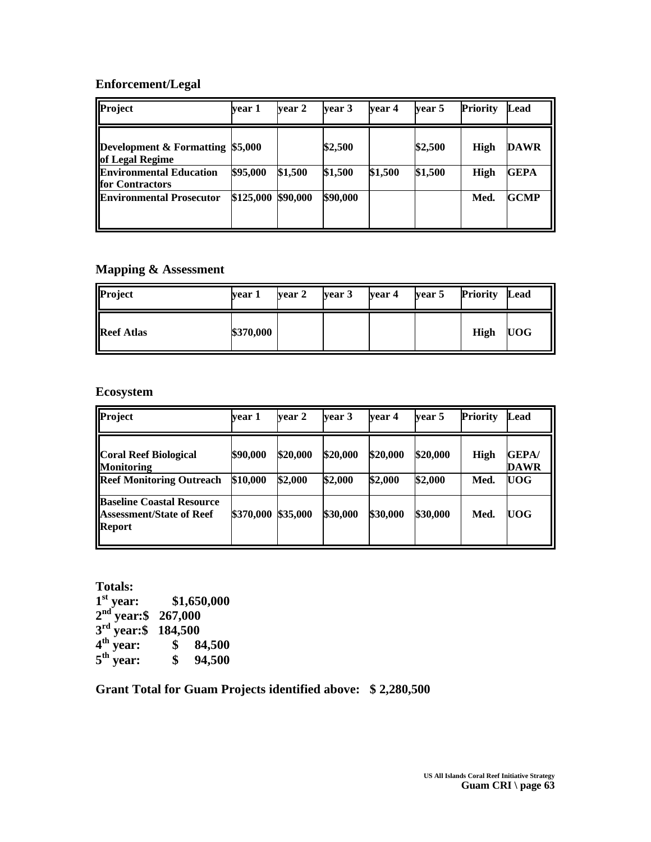# **Enforcement/Legal**

| Project                                             | vear 1    | vear 2   | vear 3   | vear 4  | vear 5  | <b>Priority</b> | Lead        |
|-----------------------------------------------------|-----------|----------|----------|---------|---------|-----------------|-------------|
| Development & Formatting \$5,000<br>of Legal Regime |           |          | \$2,500  |         | \$2,500 | High            | <b>DAWR</b> |
| <b>Environmental Education</b><br>for Contractors   | \$95,000  | \$1,500  | \$1,500  | \$1,500 | \$1,500 | High            | <b>GEPA</b> |
| <b>Environmental Prosecutor</b>                     | \$125,000 | \$90,000 | \$90,000 |         |         | Med.            | <b>GCMP</b> |

# **Mapping & Assessment**

| Project           | vear 1    | year 2 | year 3 | year 4 | year 5 | <b>Priority</b> | Lead       |
|-------------------|-----------|--------|--------|--------|--------|-----------------|------------|
| <b>Reef Atlas</b> | \$370,000 |        |        |        |        | <b>High</b>     | <b>UOG</b> |

#### **Ecosystem**

| <b>Project</b>                                                                | vear 1    | vear 2   | vear 3   | vear 4   | year 5   | <b>Priority</b> | Lead                         |
|-------------------------------------------------------------------------------|-----------|----------|----------|----------|----------|-----------------|------------------------------|
| <b>Coral Reef Biological</b><br><b>Monitoring</b>                             | \$90,000  | \$20,000 | \$20,000 | \$20,000 | \$20,000 | <b>High</b>     | <b>GEPA</b> /<br><b>DAWR</b> |
| <b>Reef Monitoring Outreach</b>                                               | \$10,000  | \$2,000  | \$2,000  | \$2,000  | \$2,000  | Med.            | <b>UOG</b>                   |
| <b>Baseline Coastal Resource</b><br><b>Assessment/State of Reef</b><br>Report | \$370,000 | \$35,000 | \$30,000 | \$30,000 | \$30,000 | Med.            | <b>UOG</b>                   |

**Totals: 1 st year: \$1,650,000 2 nd year:\$ 267,000 3 rd year:\$ 184,500 4 th year: \$ 84,500**  $5<sup>th</sup>$  year: **th year: \$ 94,500**

**Grant Total for Guam Projects identified above: \$ 2,280,500**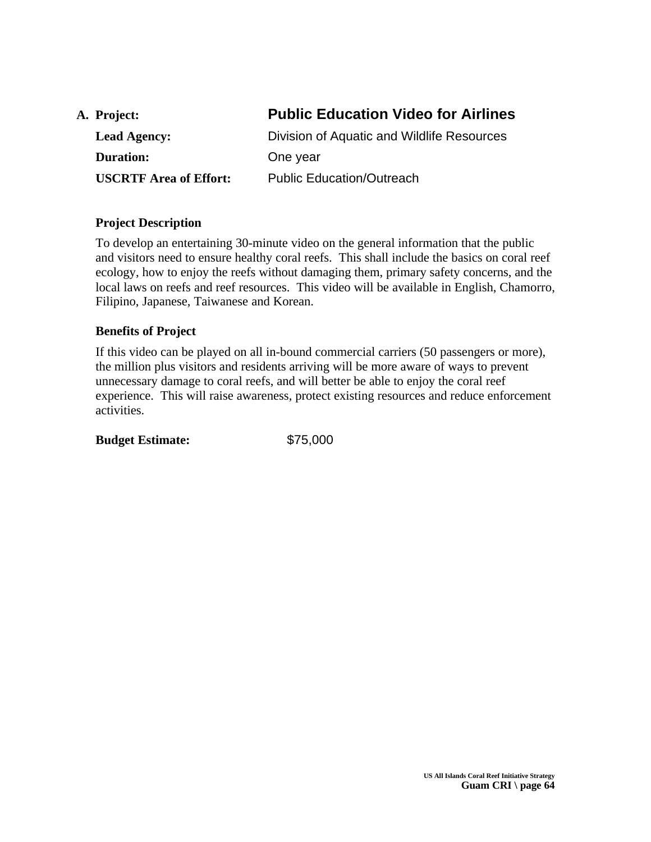| A. Project:                   | <b>Public Education Video for Airlines</b> |
|-------------------------------|--------------------------------------------|
| <b>Lead Agency:</b>           | Division of Aquatic and Wildlife Resources |
| <b>Duration:</b>              | One year                                   |
| <b>USCRTF Area of Effort:</b> | <b>Public Education/Outreach</b>           |
|                               |                                            |

To develop an entertaining 30-minute video on the general information that the public and visitors need to ensure healthy coral reefs. This shall include the basics on coral reef ecology, how to enjoy the reefs without damaging them, primary safety concerns, and the local laws on reefs and reef resources. This video will be available in English, Chamorro, Filipino, Japanese, Taiwanese and Korean.

#### **Benefits of Project**

If this video can be played on all in-bound commercial carriers (50 passengers or more), the million plus visitors and residents arriving will be more aware of ways to prevent unnecessary damage to coral reefs, and will better be able to enjoy the coral reef experience. This will raise awareness, protect existing resources and reduce enforcement activities.

**Budget Estimate:** \$75,000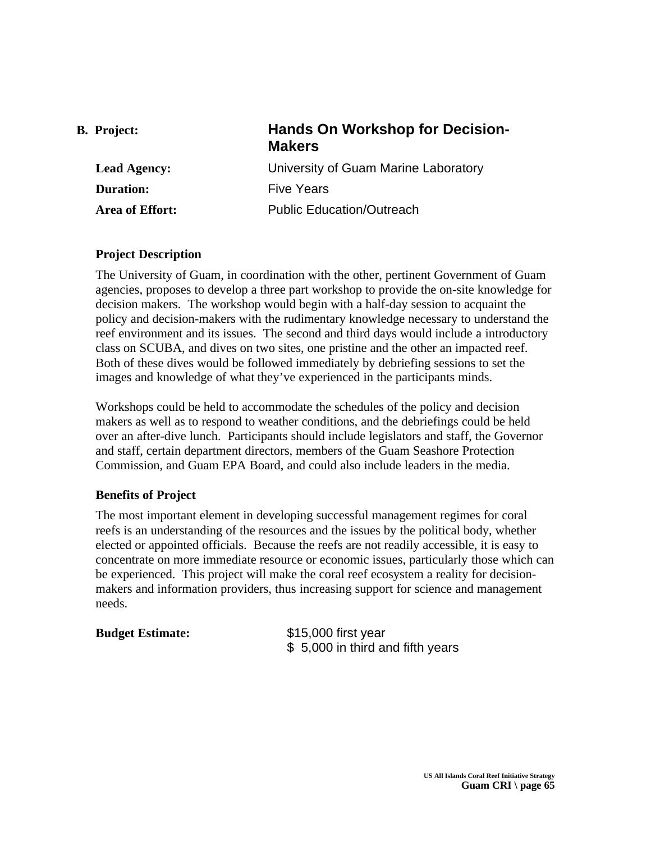| <b>B.</b> Project:  | <b>Hands On Workshop for Decision-</b><br><b>Makers</b> |
|---------------------|---------------------------------------------------------|
| <b>Lead Agency:</b> | University of Guam Marine Laboratory                    |
| <b>Duration:</b>    | <b>Five Years</b>                                       |
| Area of Effort:     | <b>Public Education/Outreach</b>                        |

The University of Guam, in coordination with the other, pertinent Government of Guam agencies, proposes to develop a three part workshop to provide the on-site knowledge for decision makers. The workshop would begin with a half-day session to acquaint the policy and decision-makers with the rudimentary knowledge necessary to understand the reef environment and its issues. The second and third days would include a introductory class on SCUBA, and dives on two sites, one pristine and the other an impacted reef. Both of these dives would be followed immediately by debriefing sessions to set the images and knowledge of what they've experienced in the participants minds.

Workshops could be held to accommodate the schedules of the policy and decision makers as well as to respond to weather conditions, and the debriefings could be held over an after-dive lunch. Participants should include legislators and staff, the Governor and staff, certain department directors, members of the Guam Seashore Protection Commission, and Guam EPA Board, and could also include leaders in the media.

# **Benefits of Project**

The most important element in developing successful management regimes for coral reefs is an understanding of the resources and the issues by the political body, whether elected or appointed officials. Because the reefs are not readily accessible, it is easy to concentrate on more immediate resource or economic issues, particularly those which can be experienced. This project will make the coral reef ecosystem a reality for decisionmakers and information providers, thus increasing support for science and management needs.

#### **Budget Estimate:** \$15,000 first year

\$ 5,000 in third and fifth years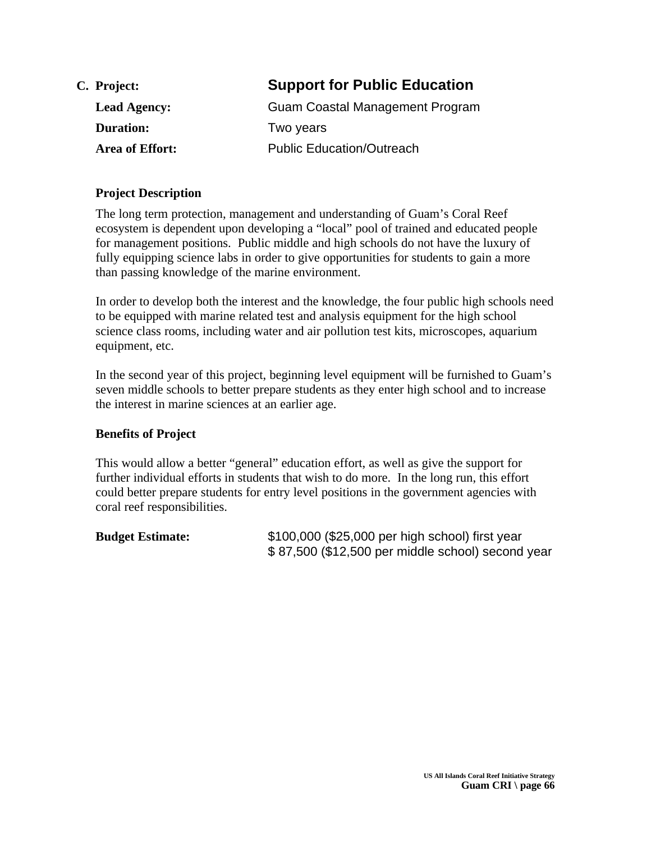| C. Project:         | <b>Support for Public Education</b> |
|---------------------|-------------------------------------|
| <b>Lead Agency:</b> | Guam Coastal Management Program     |
| <b>Duration:</b>    | Two years                           |
| Area of Effort:     | <b>Public Education/Outreach</b>    |

The long term protection, management and understanding of Guam's Coral Reef ecosystem is dependent upon developing a "local" pool of trained and educated people for management positions. Public middle and high schools do not have the luxury of fully equipping science labs in order to give opportunities for students to gain a more than passing knowledge of the marine environment.

In order to develop both the interest and the knowledge, the four public high schools need to be equipped with marine related test and analysis equipment for the high school science class rooms, including water and air pollution test kits, microscopes, aquarium equipment, etc.

In the second year of this project, beginning level equipment will be furnished to Guam's seven middle schools to better prepare students as they enter high school and to increase the interest in marine sciences at an earlier age.

# **Benefits of Project**

This would allow a better "general" education effort, as well as give the support for further individual efforts in students that wish to do more. In the long run, this effort could better prepare students for entry level positions in the government agencies with coral reef responsibilities.

| <b>Budget Estimate:</b> | \$100,000 (\$25,000 per high school) first year   |
|-------------------------|---------------------------------------------------|
|                         | \$87,500 (\$12,500 per middle school) second year |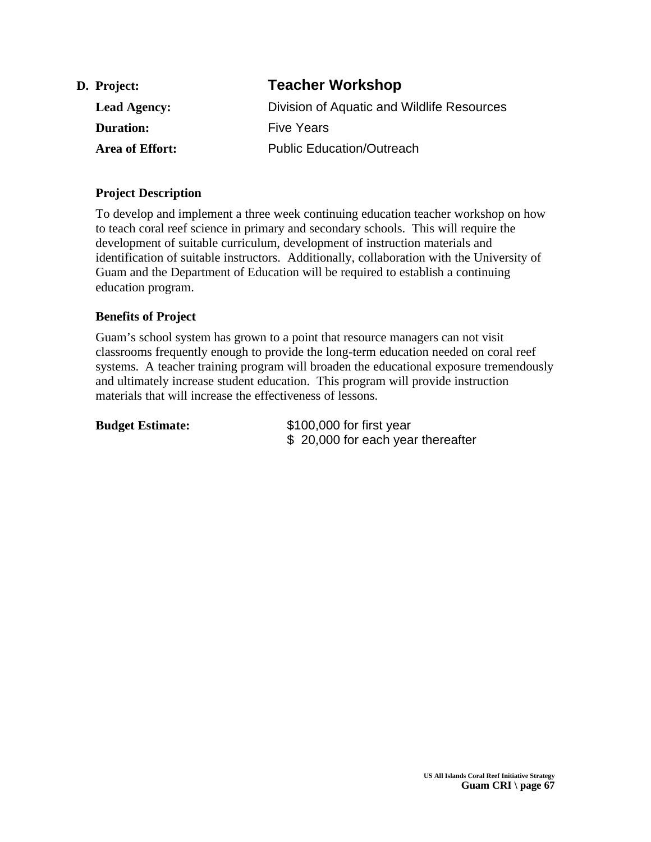| D. Project:         | <b>Teacher Workshop</b>                    |
|---------------------|--------------------------------------------|
| <b>Lead Agency:</b> | Division of Aquatic and Wildlife Resources |
| <b>Duration:</b>    | <b>Five Years</b>                          |
| Area of Effort:     | <b>Public Education/Outreach</b>           |

To develop and implement a three week continuing education teacher workshop on how to teach coral reef science in primary and secondary schools. This will require the development of suitable curriculum, development of instruction materials and identification of suitable instructors. Additionally, collaboration with the University of Guam and the Department of Education will be required to establish a continuing education program.

# **Benefits of Project**

Guam's school system has grown to a point that resource managers can not visit classrooms frequently enough to provide the long-term education needed on coral reef systems. A teacher training program will broaden the educational exposure tremendously and ultimately increase student education. This program will provide instruction materials that will increase the effectiveness of lessons.

| <b>Budget Estimate:</b> | \$100,000 for first year          |
|-------------------------|-----------------------------------|
|                         | \$20,000 for each year thereafter |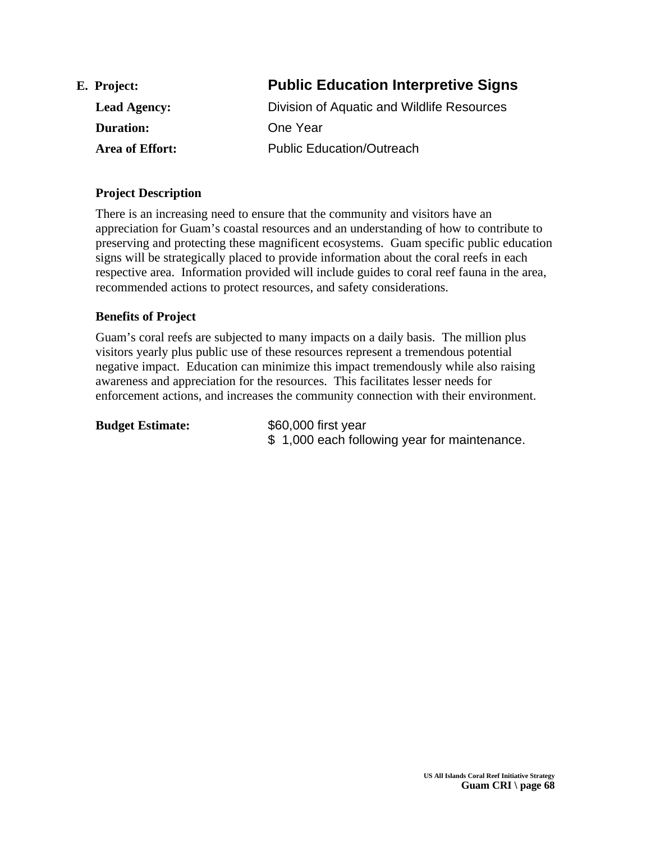| E. Project:         | <b>Public Education Interpretive Signs</b> |
|---------------------|--------------------------------------------|
| <b>Lead Agency:</b> | Division of Aquatic and Wildlife Resources |
| <b>Duration:</b>    | One Year                                   |
| Area of Effort:     | <b>Public Education/Outreach</b>           |

There is an increasing need to ensure that the community and visitors have an appreciation for Guam's coastal resources and an understanding of how to contribute to preserving and protecting these magnificent ecosystems. Guam specific public education signs will be strategically placed to provide information about the coral reefs in each respective area. Information provided will include guides to coral reef fauna in the area, recommended actions to protect resources, and safety considerations.

#### **Benefits of Project**

Guam's coral reefs are subjected to many impacts on a daily basis. The million plus visitors yearly plus public use of these resources represent a tremendous potential negative impact. Education can minimize this impact tremendously while also raising awareness and appreciation for the resources. This facilitates lesser needs for enforcement actions, and increases the community connection with their environment.

| <b>Budget Estimate:</b> | \$60,000 first year<br>\$1,000 each following year for maintenance. |
|-------------------------|---------------------------------------------------------------------|
|                         |                                                                     |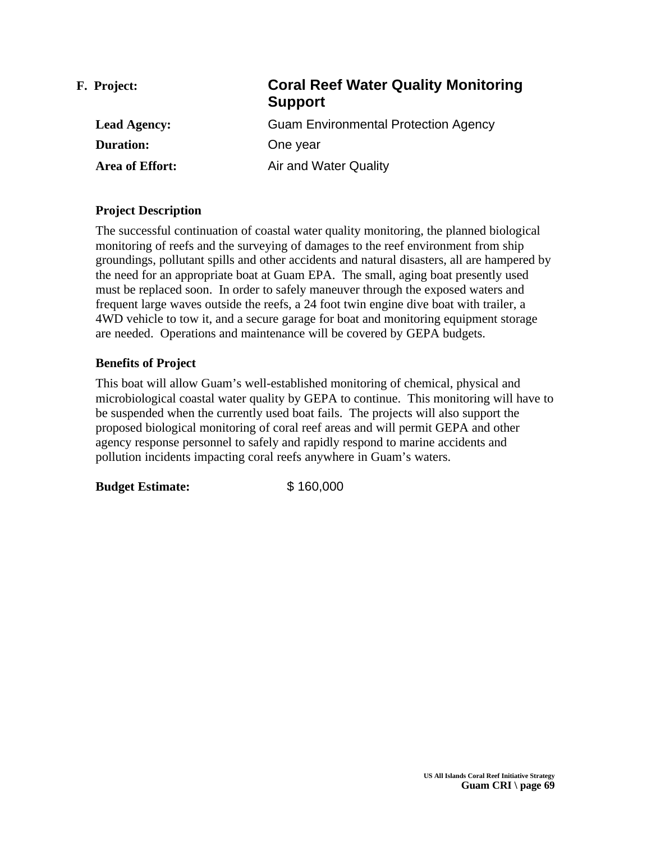| <b>Coral Reef Water Quality Monitoring</b><br><b>Support</b> |
|--------------------------------------------------------------|
| <b>Guam Environmental Protection Agency</b>                  |
| One year                                                     |
| Air and Water Quality                                        |
|                                                              |

The successful continuation of coastal water quality monitoring, the planned biological monitoring of reefs and the surveying of damages to the reef environment from ship groundings, pollutant spills and other accidents and natural disasters, all are hampered by the need for an appropriate boat at Guam EPA. The small, aging boat presently used must be replaced soon. In order to safely maneuver through the exposed waters and frequent large waves outside the reefs, a 24 foot twin engine dive boat with trailer, a 4WD vehicle to tow it, and a secure garage for boat and monitoring equipment storage are needed. Operations and maintenance will be covered by GEPA budgets.

# **Benefits of Project**

This boat will allow Guam's well-established monitoring of chemical, physical and microbiological coastal water quality by GEPA to continue. This monitoring will have to be suspended when the currently used boat fails. The projects will also support the proposed biological monitoring of coral reef areas and will permit GEPA and other agency response personnel to safely and rapidly respond to marine accidents and pollution incidents impacting coral reefs anywhere in Guam's waters.

**Budget Estimate:** \$ 160,000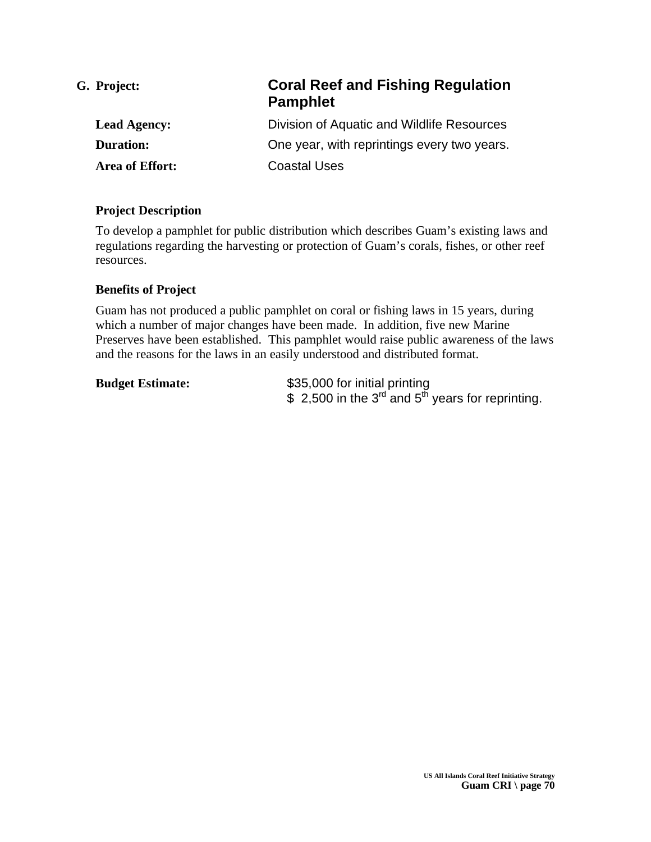| G. Project:         | <b>Coral Reef and Fishing Regulation</b><br><b>Pamphlet</b> |
|---------------------|-------------------------------------------------------------|
| <b>Lead Agency:</b> | Division of Aquatic and Wildlife Resources                  |
| <b>Duration:</b>    | One year, with reprintings every two years.                 |
| Area of Effort:     | <b>Coastal Uses</b>                                         |

To develop a pamphlet for public distribution which describes Guam's existing laws and regulations regarding the harvesting or protection of Guam's corals, fishes, or other reef resources.

#### **Benefits of Project**

Guam has not produced a public pamphlet on coral or fishing laws in 15 years, during which a number of major changes have been made. In addition, five new Marine Preserves have been established. This pamphlet would raise public awareness of the laws and the reasons for the laws in an easily understood and distributed format.

| <b>Budget Estimate:</b> |
|-------------------------|
|-------------------------|

**Budget Estimate:** \$35,000 for initial printing  $$ 2,500$  in the 3<sup>rd</sup> and 5<sup>th</sup> years for reprinting.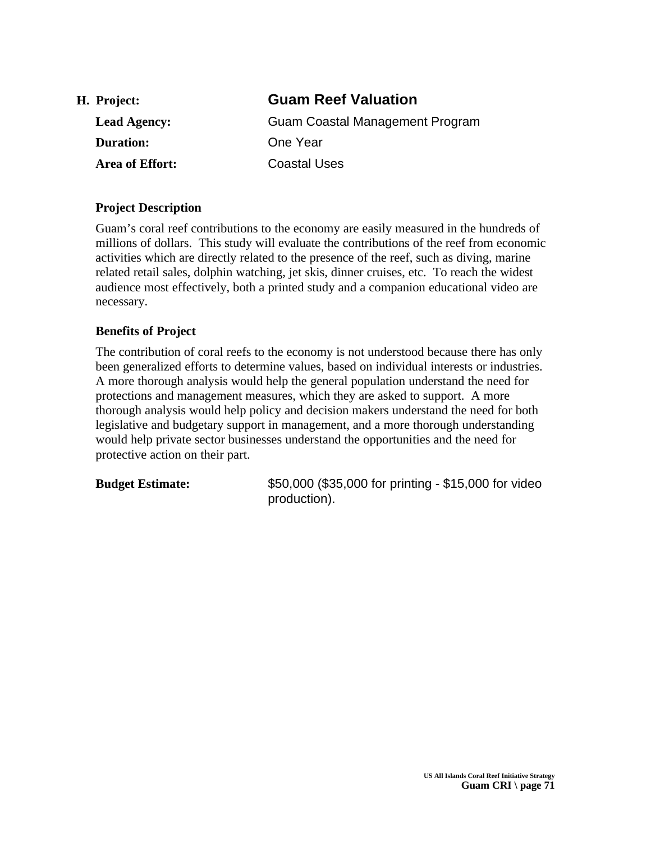| H. Project:         | <b>Guam Reef Valuation</b>      |
|---------------------|---------------------------------|
| <b>Lead Agency:</b> | Guam Coastal Management Program |
| <b>Duration:</b>    | One Year                        |
| Area of Effort:     | Coastal Uses                    |

Guam's coral reef contributions to the economy are easily measured in the hundreds of millions of dollars. This study will evaluate the contributions of the reef from economic activities which are directly related to the presence of the reef, such as diving, marine related retail sales, dolphin watching, jet skis, dinner cruises, etc. To reach the widest audience most effectively, both a printed study and a companion educational video are necessary.

#### **Benefits of Project**

The contribution of coral reefs to the economy is not understood because there has only been generalized efforts to determine values, based on individual interests or industries. A more thorough analysis would help the general population understand the need for protections and management measures, which they are asked to support. A more thorough analysis would help policy and decision makers understand the need for both legislative and budgetary support in management, and a more thorough understanding would help private sector businesses understand the opportunities and the need for protective action on their part.

**Budget Estimate:** \$50,000 (\$35,000 for printing - \$15,000 for video production).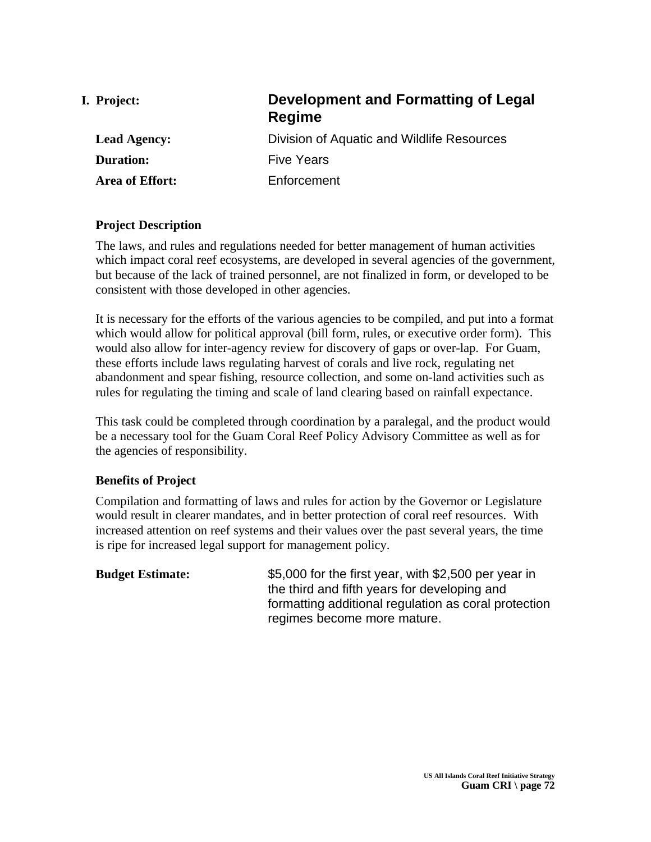| I. Project:         | Development and Formatting of Legal<br>Regime |
|---------------------|-----------------------------------------------|
| <b>Lead Agency:</b> | Division of Aquatic and Wildlife Resources    |
| <b>Duration:</b>    | <b>Five Years</b>                             |
| Area of Effort:     | Enforcement                                   |
|                     |                                               |

The laws, and rules and regulations needed for better management of human activities which impact coral reef ecosystems, are developed in several agencies of the government, but because of the lack of trained personnel, are not finalized in form, or developed to be consistent with those developed in other agencies.

It is necessary for the efforts of the various agencies to be compiled, and put into a format which would allow for political approval (bill form, rules, or executive order form). This would also allow for inter-agency review for discovery of gaps or over-lap. For Guam, these efforts include laws regulating harvest of corals and live rock, regulating net abandonment and spear fishing, resource collection, and some on-land activities such as rules for regulating the timing and scale of land clearing based on rainfall expectance.

This task could be completed through coordination by a paralegal, and the product would be a necessary tool for the Guam Coral Reef Policy Advisory Committee as well as for the agencies of responsibility.

# **Benefits of Project**

Compilation and formatting of laws and rules for action by the Governor or Legislature would result in clearer mandates, and in better protection of coral reef resources. With increased attention on reef systems and their values over the past several years, the time is ripe for increased legal support for management policy.

**Budget Estimate:** \$5,000 for the first year, with \$2,500 per year in the third and fifth years for developing and formatting additional regulation as coral protection regimes become more mature.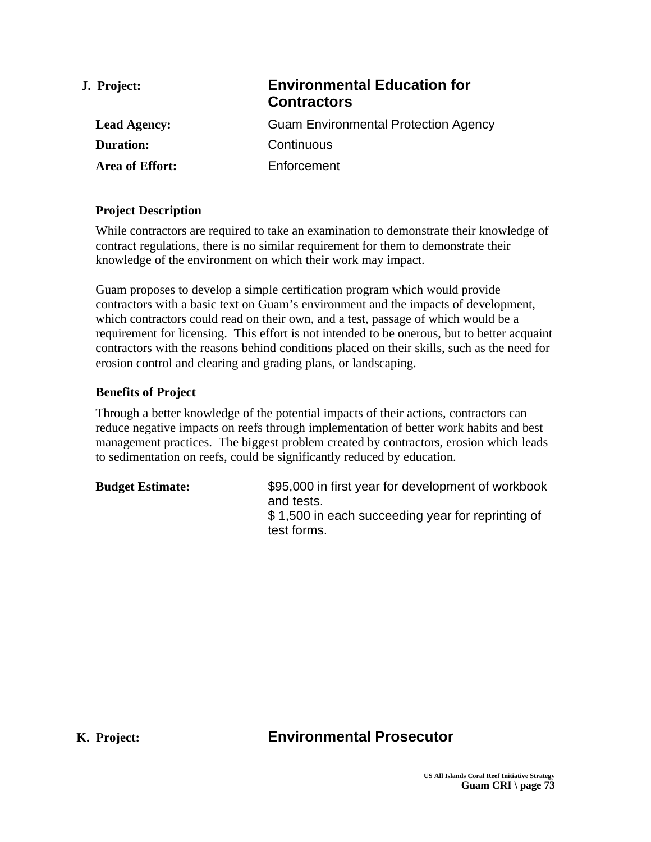| J. Project:         | <b>Environmental Education for</b><br><b>Contractors</b> |
|---------------------|----------------------------------------------------------|
| <b>Lead Agency:</b> | <b>Guam Environmental Protection Agency</b>              |
| <b>Duration:</b>    | Continuous                                               |
| Area of Effort:     | Enforcement                                              |
|                     |                                                          |

While contractors are required to take an examination to demonstrate their knowledge of contract regulations, there is no similar requirement for them to demonstrate their knowledge of the environment on which their work may impact.

Guam proposes to develop a simple certification program which would provide contractors with a basic text on Guam's environment and the impacts of development, which contractors could read on their own, and a test, passage of which would be a requirement for licensing. This effort is not intended to be onerous, but to better acquaint contractors with the reasons behind conditions placed on their skills, such as the need for erosion control and clearing and grading plans, or landscaping.

#### **Benefits of Project**

Through a better knowledge of the potential impacts of their actions, contractors can reduce negative impacts on reefs through implementation of better work habits and best management practices. The biggest problem created by contractors, erosion which leads to sedimentation on reefs, could be significantly reduced by education.

| <b>Budget Estimate:</b> | \$95,000 in first year for development of workbook |
|-------------------------|----------------------------------------------------|
|                         | and tests.                                         |
|                         | \$1,500 in each succeeding year for reprinting of  |
|                         | test forms.                                        |

# **K. Project: Environmental Prosecutor**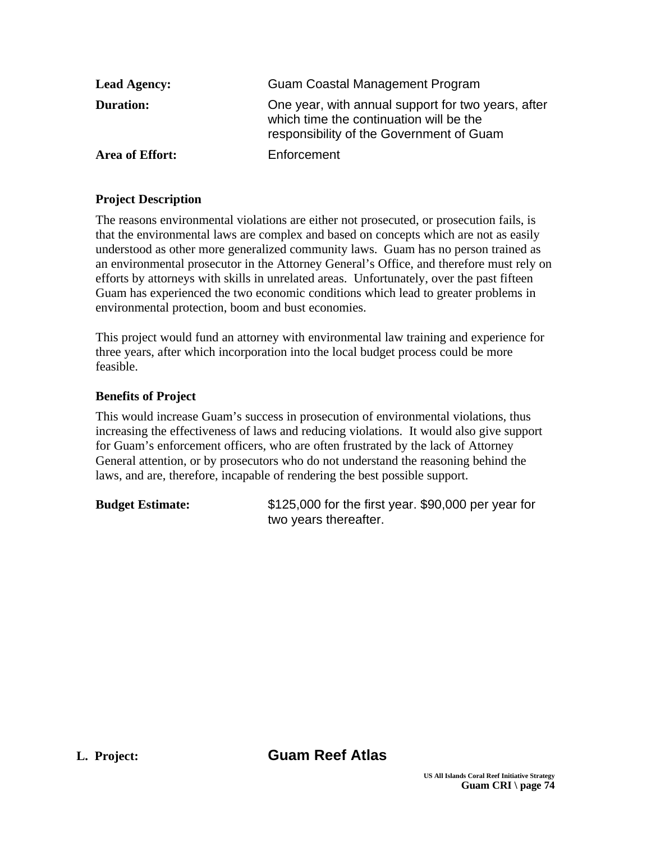| <b>Lead Agency:</b> | Guam Coastal Management Program                                                                                                           |
|---------------------|-------------------------------------------------------------------------------------------------------------------------------------------|
| <b>Duration:</b>    | One year, with annual support for two years, after<br>which time the continuation will be the<br>responsibility of the Government of Guam |
| Area of Effort:     | Enforcement                                                                                                                               |

The reasons environmental violations are either not prosecuted, or prosecution fails, is that the environmental laws are complex and based on concepts which are not as easily understood as other more generalized community laws. Guam has no person trained as an environmental prosecutor in the Attorney General's Office, and therefore must rely on efforts by attorneys with skills in unrelated areas. Unfortunately, over the past fifteen Guam has experienced the two economic conditions which lead to greater problems in environmental protection, boom and bust economies.

This project would fund an attorney with environmental law training and experience for three years, after which incorporation into the local budget process could be more feasible.

# **Benefits of Project**

This would increase Guam's success in prosecution of environmental violations, thus increasing the effectiveness of laws and reducing violations. It would also give support for Guam's enforcement officers, who are often frustrated by the lack of Attorney General attention, or by prosecutors who do not understand the reasoning behind the laws, and are, therefore, incapable of rendering the best possible support.

**Budget Estimate:** \$125,000 for the first year. \$90,000 per year for two years thereafter.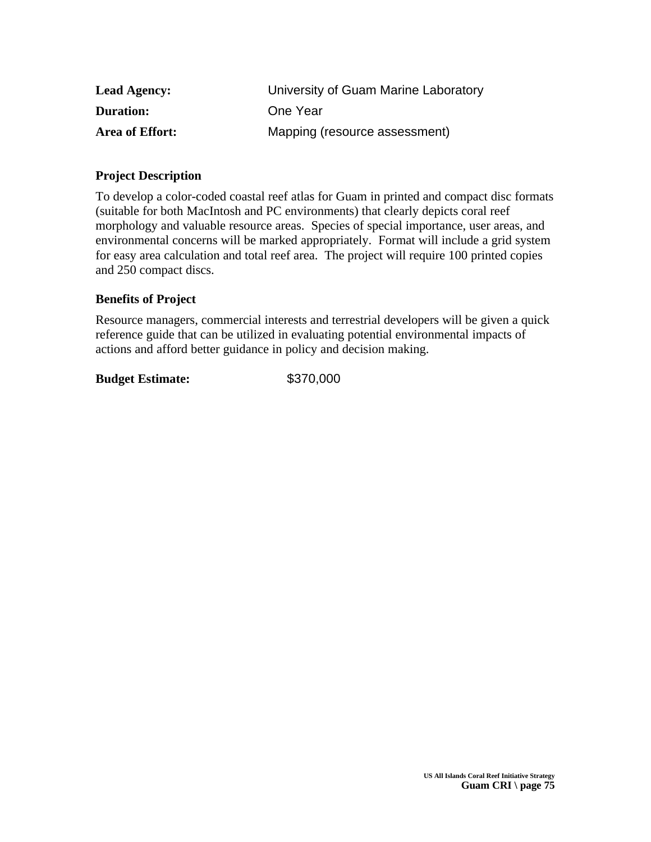| <b>Lead Agency:</b> | University of Guam Marine Laboratory |
|---------------------|--------------------------------------|
| <b>Duration:</b>    | One Year                             |
| Area of Effort:     | Mapping (resource assessment)        |

To develop a color-coded coastal reef atlas for Guam in printed and compact disc formats (suitable for both MacIntosh and PC environments) that clearly depicts coral reef morphology and valuable resource areas. Species of special importance, user areas, and environmental concerns will be marked appropriately. Format will include a grid system for easy area calculation and total reef area. The project will require 100 printed copies and 250 compact discs.

#### **Benefits of Project**

Resource managers, commercial interests and terrestrial developers will be given a quick reference guide that can be utilized in evaluating potential environmental impacts of actions and afford better guidance in policy and decision making.

#### **Budget Estimate:** \$370,000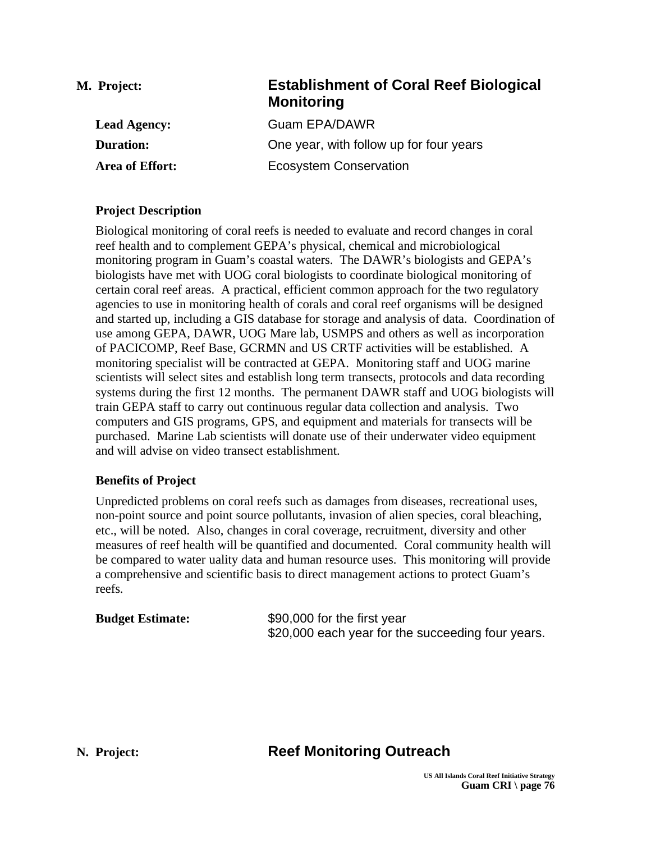| M. Project:         | <b>Establishment of Coral Reef Biological</b><br><b>Monitoring</b> |
|---------------------|--------------------------------------------------------------------|
| <b>Lead Agency:</b> | <b>Guam EPA/DAWR</b>                                               |
| <b>Duration:</b>    | One year, with follow up for four years                            |
| Area of Effort:     | <b>Ecosystem Conservation</b>                                      |

Biological monitoring of coral reefs is needed to evaluate and record changes in coral reef health and to complement GEPA's physical, chemical and microbiological monitoring program in Guam's coastal waters. The DAWR's biologists and GEPA's biologists have met with UOG coral biologists to coordinate biological monitoring of certain coral reef areas. A practical, efficient common approach for the two regulatory agencies to use in monitoring health of corals and coral reef organisms will be designed and started up, including a GIS database for storage and analysis of data. Coordination of use among GEPA, DAWR, UOG Mare lab, USMPS and others as well as incorporation of PACICOMP, Reef Base, GCRMN and US CRTF activities will be established. A monitoring specialist will be contracted at GEPA. Monitoring staff and UOG marine scientists will select sites and establish long term transects, protocols and data recording systems during the first 12 months. The permanent DAWR staff and UOG biologists will train GEPA staff to carry out continuous regular data collection and analysis. Two computers and GIS programs, GPS, and equipment and materials for transects will be purchased. Marine Lab scientists will donate use of their underwater video equipment and will advise on video transect establishment.

#### **Benefits of Project**

Unpredicted problems on coral reefs such as damages from diseases, recreational uses, non-point source and point source pollutants, invasion of alien species, coral bleaching, etc., will be noted. Also, changes in coral coverage, recruitment, diversity and other measures of reef health will be quantified and documented. Coral community health will be compared to water uality data and human resource uses. This monitoring will provide a comprehensive and scientific basis to direct management actions to protect Guam's reefs.

| <b>Budget Estimate:</b> | \$90,000 for the first year                       |
|-------------------------|---------------------------------------------------|
|                         | \$20,000 each year for the succeeding four years. |

# **N. Project: Reef Monitoring Outreach**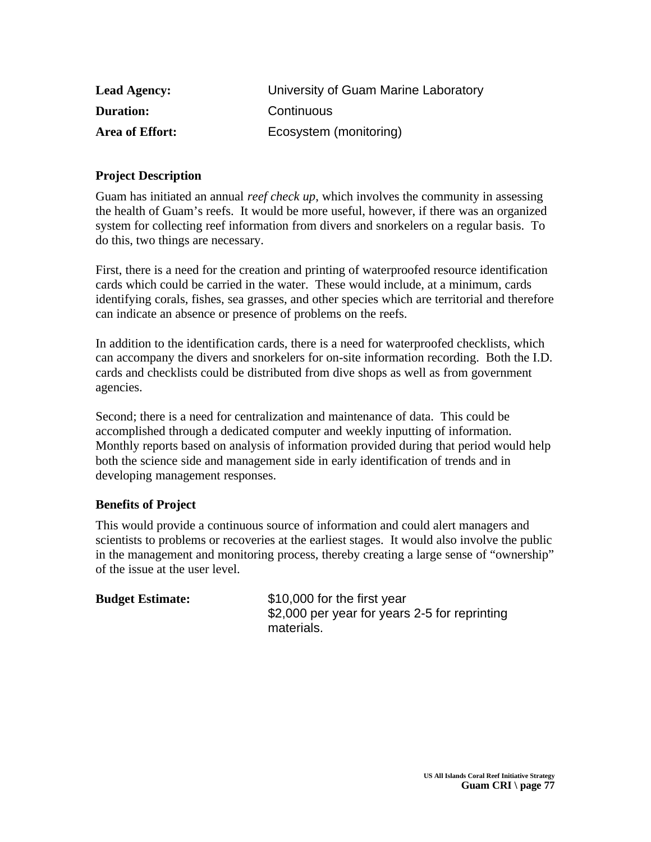| <b>Lead Agency:</b> | University of Guam Marine Laboratory |
|---------------------|--------------------------------------|
| <b>Duration:</b>    | Continuous                           |
| Area of Effort:     | Ecosystem (monitoring)               |

Guam has initiated an annual *reef check up*, which involves the community in assessing the health of Guam's reefs. It would be more useful, however, if there was an organized system for collecting reef information from divers and snorkelers on a regular basis. To do this, two things are necessary.

First, there is a need for the creation and printing of waterproofed resource identification cards which could be carried in the water. These would include, at a minimum, cards identifying corals, fishes, sea grasses, and other species which are territorial and therefore can indicate an absence or presence of problems on the reefs.

In addition to the identification cards, there is a need for waterproofed checklists, which can accompany the divers and snorkelers for on-site information recording. Both the I.D. cards and checklists could be distributed from dive shops as well as from government agencies.

Second; there is a need for centralization and maintenance of data. This could be accomplished through a dedicated computer and weekly inputting of information. Monthly reports based on analysis of information provided during that period would help both the science side and management side in early identification of trends and in developing management responses.

#### **Benefits of Project**

This would provide a continuous source of information and could alert managers and scientists to problems or recoveries at the earliest stages. It would also involve the public in the management and monitoring process, thereby creating a large sense of "ownership" of the issue at the user level.

| <b>Budget Estimate:</b> | \$10,000 for the first year                   |
|-------------------------|-----------------------------------------------|
|                         | \$2,000 per year for years 2-5 for reprinting |
|                         | materials.                                    |